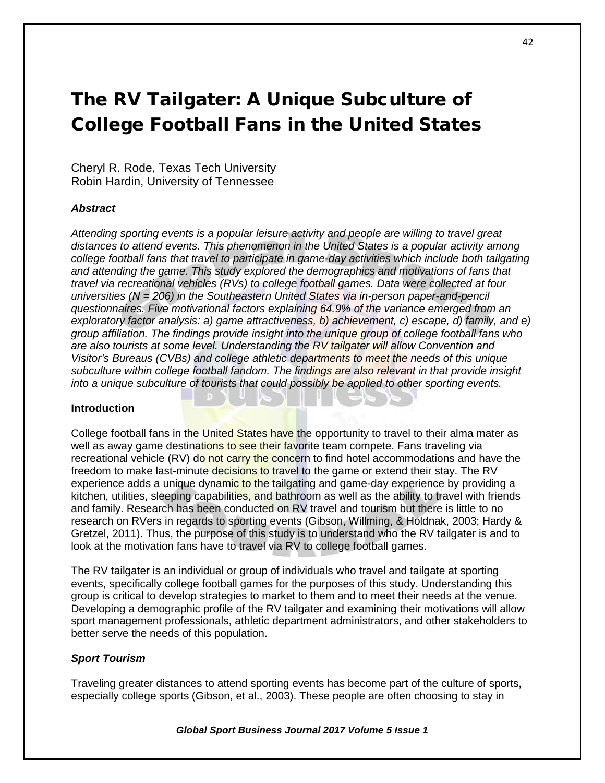# The RV Tailgater: A Unique Subculture of College Football Fans in the United States

Cheryl R. Rode, Texas Tech University Robin Hardin, University of Tennessee

## *Abstract*

*Attending sporting events is a popular leisure activity and people are willing to travel great distances to attend events. This phenomenon in the United States is a popular activity among college football fans that travel to participate in game-day activities which include both tailgating and attending the game. This study explored the demographics and motivations of fans that travel via recreational vehicles (RVs) to college football games. Data were collected at four universities (N = 206) in the Southeastern United States via in-person paper-and-pencil questionnaires. Five motivational factors explaining 64.9% of the variance emerged from an exploratory factor analysis: a) game attractiveness, b) achievement, c) escape, d) family, and e) group affiliation. The findings provide insight into the unique group of college football fans who are also tourists at some level. Understanding the RV tailgater will allow Convention and Visitor's Bureaus (CVBs) and college athletic departments to meet the needs of this unique subculture within college football fandom. The findings are also relevant in that provide insight into a unique subculture of tourists that could possibly be applied to other sporting events.*

## **Introduction**

College football fans in the United States have the opportunity to travel to their alma mater as well as away game destinations to see their favorite team compete. Fans traveling via recreational vehicle (RV) do not carry the concern to find hotel accommodations and have the freedom to make last-minute decisions to travel to the game or extend their stay. The RV experience adds a unique dynamic to the tailgating and game-day experience by providing a kitchen, utilities, sleeping capabilities, and bathroom as well as the ability to travel with friends and family. Research has been conducted on RV travel and tourism but there is little to no research on RVers in regards to sporting events (Gibson, Willming, & Holdnak, 2003; Hardy & Gretzel, 2011). Thus, the purpose of this study is to understand who the RV tailgater is and to look at the motivation fans have to travel via RV to college football games.

The RV tailgater is an individual or group of individuals who travel and tailgate at sporting events, specifically college football games for the purposes of this study. Understanding this group is critical to develop strategies to market to them and to meet their needs at the venue. Developing a demographic profile of the RV tailgater and examining their motivations will allow sport management professionals, athletic department administrators, and other stakeholders to better serve the needs of this population.

## *Sport Tourism*

Traveling greater distances to attend sporting events has become part of the culture of sports, especially college sports (Gibson, et al., 2003). These people are often choosing to stay in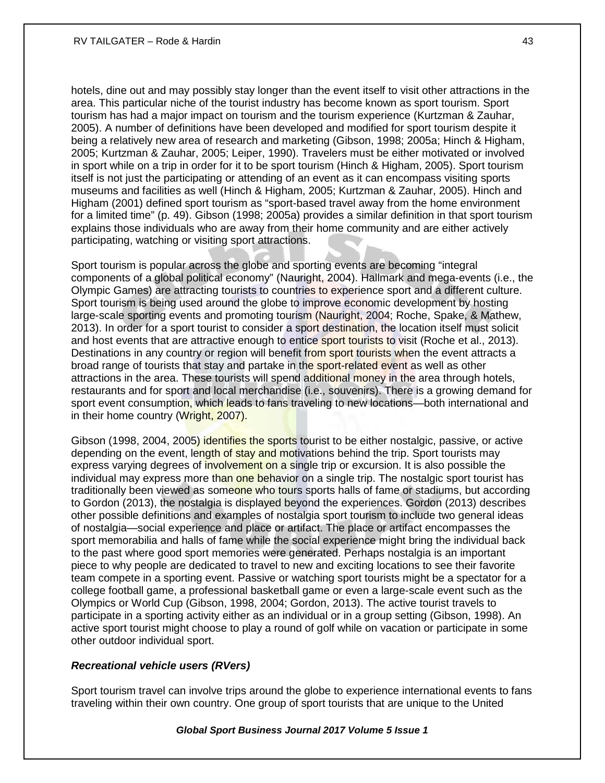hotels, dine out and may possibly stay longer than the event itself to visit other attractions in the area. This particular niche of the tourist industry has become known as sport tourism. Sport tourism has had a major impact on tourism and the tourism experience (Kurtzman & Zauhar, 2005). A number of definitions have been developed and modified for sport tourism despite it being a relatively new area of research and marketing (Gibson, 1998; 2005a; Hinch & Higham, 2005; Kurtzman & Zauhar, 2005; Leiper, 1990). Travelers must be either motivated or involved in sport while on a trip in order for it to be sport tourism (Hinch & Higham, 2005). Sport tourism itself is not just the participating or attending of an event as it can encompass visiting sports museums and facilities as well (Hinch & Higham, 2005; Kurtzman & Zauhar, 2005). Hinch and Higham (2001) defined sport tourism as "sport-based travel away from the home environment for a limited time" (p. 49). Gibson (1998; 2005a) provides a similar definition in that sport tourism explains those individuals who are away from their home community and are either actively participating, watching or visiting sport attractions.

Sport tourism is popular across the globe and sporting events are becoming "integral components of a global political economy" (Nauright, 2004). Hallmark and mega-events (i.e., the Olympic Games) are attracting tourists to countries to experience sport and a different culture. Sport tourism is being used around the globe to improve economic development by hosting large-scale sporting events and promoting tourism (Nauright, 2004; Roche, Spake, & Mathew, 2013). In order for a sport tourist to consider a sport destination, the location itself must solicit and host events that are attractive enough to entice sport tourists to visit (Roche et al., 2013). Destinations in any country or region will benefit from sport tourists when the event attracts a broad range of tourists that stay and partake in the sport-related event as well as other attractions in the area. These tourists will spend additional money in the area through hotels, restaurants and for sport and local merchandise (i.e., souvenirs). There is a growing demand for sport event consumption, which leads to fans traveling to new locations—both international and in their home country (Wright, 2007).

Gibson (1998, 2004, 2005) identifies the sports tourist to be either nostalgic, passive, or active depending on the event, length of stay and motivations behind the trip. Sport tourists may express varying degrees of involvement on a single trip or excursion. It is also possible the individual may express more than one behavior on a single trip. The nostalgic sport tourist has traditionally been viewed as someone who tours sports halls of fame or stadiums, but according to Gordon (2013), the nostalgia is displayed beyond the experiences. Gordon (2013) describes other possible definitions and examples of nostalgia sport tourism to include two general ideas of nostalgia—social experience and place or artifact. The place or artifact encompasses the sport memorabilia and halls of fame while the social experience might bring the individual back to the past where good sport memories were generated. Perhaps nostalgia is an important piece to why people are dedicated to travel to new and exciting locations to see their favorite team compete in a sporting event. Passive or watching sport tourists might be a spectator for a college football game, a professional basketball game or even a large-scale event such as the Olympics or World Cup (Gibson, 1998, 2004; Gordon, 2013). The active tourist travels to participate in a sporting activity either as an individual or in a group setting (Gibson, 1998). An active sport tourist might choose to play a round of golf while on vacation or participate in some other outdoor individual sport.

## *Recreational vehicle users (RVers)*

Sport tourism travel can involve trips around the globe to experience international events to fans traveling within their own country. One group of sport tourists that are unique to the United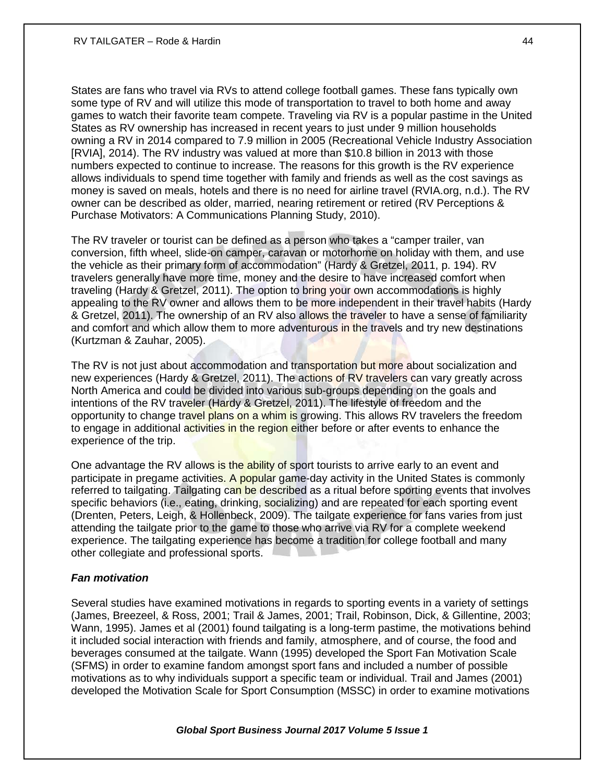States are fans who travel via RVs to attend college football games. These fans typically own some type of RV and will utilize this mode of transportation to travel to both home and away games to watch their favorite team compete. Traveling via RV is a popular pastime in the United States as RV ownership has increased in recent years to just under 9 million households owning a RV in 2014 compared to 7.9 million in 2005 (Recreational Vehicle Industry Association [RVIA], 2014). The RV industry was valued at more than \$10.8 billion in 2013 with those numbers expected to continue to increase. The reasons for this growth is the RV experience allows individuals to spend time together with family and friends as well as the cost savings as money is saved on meals, hotels and there is no need for airline travel (RVIA.org, n.d.). The RV owner can be described as older, married, nearing retirement or retired (RV Perceptions & Purchase Motivators: A Communications Planning Study, 2010).

The RV traveler or tourist can be defined as a person who takes a "camper trailer, van conversion, fifth wheel, slide-on camper, caravan or motorhome on holiday with them, and use the vehicle as their primary form of accommodation" (Hardy & Gretzel, 2011, p. 194). RV travelers generally have more time, money and the desire to have increased comfort when traveling (Hardy & Gretzel, 2011). The option to bring your own accommodations is highly appealing to the RV owner and allows them to be more independent in their travel habits (Hardy & Gretzel, 2011). The ownership of an RV also allows the traveler to have a sense of familiarity and comfort and which allow them to more adventurous in the travels and try new destinations (Kurtzman & Zauhar, 2005).

The RV is not just about accommodation and transportation but more about socialization and new experiences (Hardy & Gretzel, 2011). The actions of RV travelers can vary greatly across North America and could be divided into various sub-groups depending on the goals and intentions of the RV traveler (Hardy & Gretzel, 2011). The lifestyle of freedom and the opportunity to change travel plans on a whim is growing. This allows RV travelers the freedom to engage in additional activities in the region either before or after events to enhance the experience of the trip.

One advantage the RV allows is the ability of sport tourists to arrive early to an event and participate in pregame activities. A popular game-day activity in the United States is commonly referred to tailgating. Tailgating can be described as a ritual before sporting events that involves specific behaviors (i.e., eating, drinking, socializing) and are repeated for each sporting event (Drenten, Peters, Leigh, & Hollenbeck, 2009). The tailgate experience for fans varies from just attending the tailgate prior to the game to those who arrive via RV for a complete weekend experience. The tailgating experience has become a tradition for college football and many other collegiate and professional sports.

## *Fan motivation*

Several studies have examined motivations in regards to sporting events in a variety of settings (James, Breezeel, & Ross, 2001; Trail & James, 2001; Trail, Robinson, Dick, & Gillentine, 2003; Wann, 1995). James et al (2001) found tailgating is a long-term pastime, the motivations behind it included social interaction with friends and family, atmosphere, and of course, the food and beverages consumed at the tailgate. Wann (1995) developed the Sport Fan Motivation Scale (SFMS) in order to examine fandom amongst sport fans and included a number of possible motivations as to why individuals support a specific team or individual. Trail and James (2001) developed the Motivation Scale for Sport Consumption (MSSC) in order to examine motivations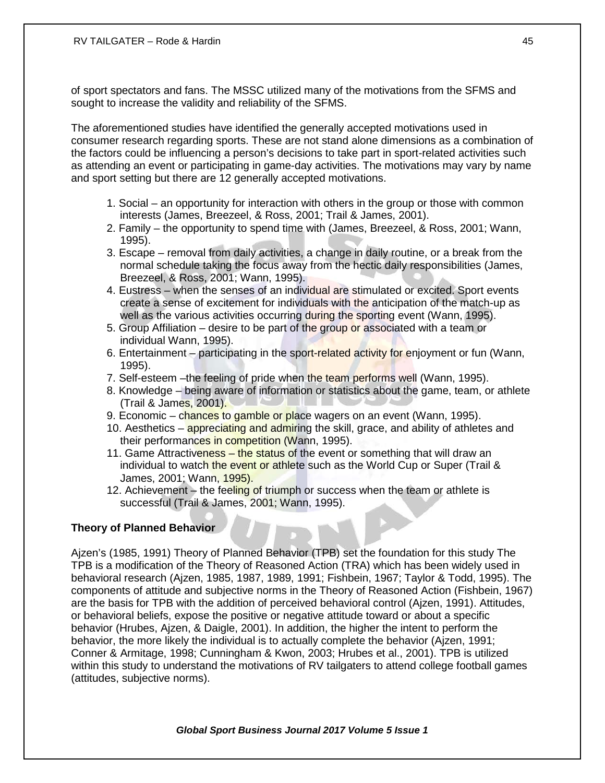of sport spectators and fans. The MSSC utilized many of the motivations from the SFMS and sought to increase the validity and reliability of the SFMS.

The aforementioned studies have identified the generally accepted motivations used in consumer research regarding sports. These are not stand alone dimensions as a combination of the factors could be influencing a person's decisions to take part in sport-related activities such as attending an event or participating in game-day activities. The motivations may vary by name and sport setting but there are 12 generally accepted motivations.

- 1. Social an opportunity for interaction with others in the group or those with common interests (James, Breezeel, & Ross, 2001; Trail & James, 2001).
- 2. Family the opportunity to spend time with (James, Breezeel, & Ross, 2001; Wann, 1995).
- 3. Escape removal from daily activities, a change in daily routine, or a break from the normal schedule taking the focus away from the hectic daily responsibilities (James, Breezeel, & Ross, 2001; Wann, 1995).
- 4. Eustress when the senses of an individual are stimulated or excited. Sport events create a sense of excitement for individuals with the anticipation of the match-up as well as the various activities occurring during the sporting event (Wann, 1995).
- 5. Group Affiliation desire to be part of the group or associated with a team or individual Wann, 1995).
- 6. Entertainment participating in the sport-related activity for enjoyment or fun (Wann, 1995).
- 7. Self-esteem –the feeling of pride when the team performs well (Wann, 1995).
- 8. Knowledge being aware of information or statistics about the game, team, or athlete (Trail & James, 2001).
- 9. Economic chances to gamble or place wagers on an event (Wann, 1995).
- 10. Aesthetics appreciating and admiring the skill, grace, and ability of athletes and their performances in competition (Wann, 1995).
- 11. Game Attractiveness the status of the event or something that will draw an individual to watch the event or athlete such as the World Cup or Super (Trail & James, 2001; Wann, 1995).
- 12. Achievement the feeling of triumph or success when the team or athlete is successful (Trail & James, 2001; Wann, 1995).

## **Theory of Planned Behavior**

Ajzen's (1985, 1991) Theory of Planned Behavior (TPB) set the foundation for this study The TPB is a modification of the Theory of Reasoned Action (TRA) which has been widely used in behavioral research (Ajzen, 1985, 1987, 1989, 1991; Fishbein, 1967; Taylor & Todd, 1995). The components of attitude and subjective norms in the Theory of Reasoned Action (Fishbein, 1967) are the basis for TPB with the addition of perceived behavioral control (Ajzen, 1991). Attitudes, or behavioral beliefs, expose the positive or negative attitude toward or about a specific behavior (Hrubes, Ajzen, & Daigle, 2001). In addition, the higher the intent to perform the behavior, the more likely the individual is to actually complete the behavior (Ajzen, 1991; Conner & Armitage, 1998; Cunningham & Kwon, 2003; Hrubes et al., 2001). TPB is utilized within this study to understand the motivations of RV tailgaters to attend college football games (attitudes, subjective norms).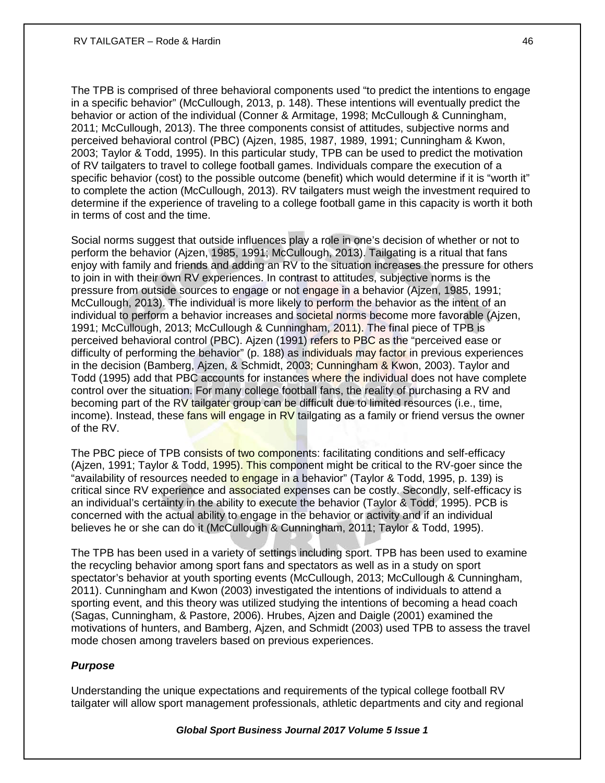The TPB is comprised of three behavioral components used "to predict the intentions to engage in a specific behavior" (McCullough, 2013, p. 148). These intentions will eventually predict the behavior or action of the individual (Conner & Armitage, 1998; McCullough & Cunningham, 2011; McCullough, 2013). The three components consist of attitudes, subjective norms and perceived behavioral control (PBC) (Ajzen, 1985, 1987, 1989, 1991; Cunningham & Kwon, 2003; Taylor & Todd, 1995). In this particular study, TPB can be used to predict the motivation of RV tailgaters to travel to college football games. Individuals compare the execution of a specific behavior (cost) to the possible outcome (benefit) which would determine if it is "worth it" to complete the action (McCullough, 2013). RV tailgaters must weigh the investment required to determine if the experience of traveling to a college football game in this capacity is worth it both in terms of cost and the time.

Social norms suggest that outside influences play a role in one's decision of whether or not to perform the behavior (Ajzen, 1985, 1991; McCullough, 2013). Tailgating is a ritual that fans enjoy with family and friends and adding an RV to the situation increases the pressure for others to join in with their own RV experiences. In contrast to attitudes, subjective norms is the pressure from outside sources to engage or not engage in a behavior (Ajzen, 1985, 1991; McCullough, 2013). The individual is more likely to perform the behavior as the intent of an individual to perform a behavior increases and societal norms become more favorable (Ajzen, 1991; McCullough, 2013; McCullough & Cunningham, 2011). The final piece of TPB is perceived behavioral control (PBC). Ajzen (1991) refers to PBC as the "perceived ease or difficulty of performing the behavior" (p. 188) as individuals may factor in previous experiences in the decision (Bamberg, Ajzen, & Schmidt, 2003; Cunningham & Kwon, 2003). Taylor and Todd (1995) add that PBC accounts for instances where the individual does not have complete control over the situation. For many college football fans, the reality of purchasing a RV and becoming part of the RV tailgater group can be difficult due to limited resources (i.e., time, income). Instead, these fans will engage in  $RV$  tailgating as a family or friend versus the owner of the RV.

The PBC piece of TPB consists of two components: facilitating conditions and self-efficacy (Ajzen, 1991; Taylor & Todd, 1995). This component might be critical to the RV-goer since the "availability of resources needed to engage in a behavior" (Taylor & Todd, 1995, p. 139) is critical since RV experience and associated expenses can be costly. Secondly, self-efficacy is an individual's certainty in the ability to execute the behavior (Taylor & Todd, 1995). PCB is concerned with the actual ability to engage in the behavior or activity and if an individual believes he or she can do it (McCullough & Cunningham, 2011; Taylor & Todd, 1995).

The TPB has been used in a variety of settings including sport. TPB has been used to examine the recycling behavior among sport fans and spectators as well as in a study on sport spectator's behavior at youth sporting events (McCullough, 2013; McCullough & Cunningham, 2011). Cunningham and Kwon (2003) investigated the intentions of individuals to attend a sporting event, and this theory was utilized studying the intentions of becoming a head coach (Sagas, Cunningham, & Pastore, 2006). Hrubes, Ajzen and Daigle (2001) examined the motivations of hunters, and Bamberg, Ajzen, and Schmidt (2003) used TPB to assess the travel mode chosen among travelers based on previous experiences.

## *Purpose*

Understanding the unique expectations and requirements of the typical college football RV tailgater will allow sport management professionals, athletic departments and city and regional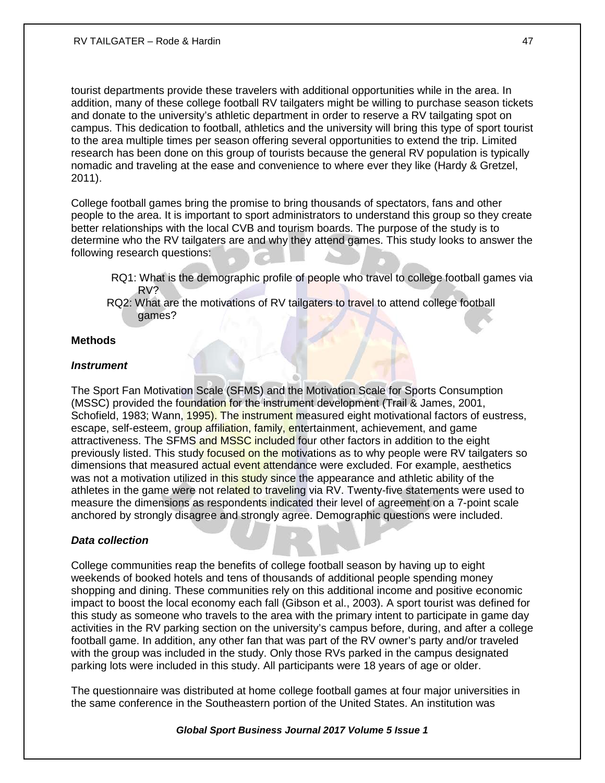tourist departments provide these travelers with additional opportunities while in the area. In addition, many of these college football RV tailgaters might be willing to purchase season tickets and donate to the university's athletic department in order to reserve a RV tailgating spot on campus. This dedication to football, athletics and the university will bring this type of sport tourist to the area multiple times per season offering several opportunities to extend the trip. Limited research has been done on this group of tourists because the general RV population is typically nomadic and traveling at the ease and convenience to where ever they like (Hardy & Gretzel, 2011).

College football games bring the promise to bring thousands of spectators, fans and other people to the area. It is important to sport administrators to understand this group so they create better relationships with the local CVB and tourism boards. The purpose of the study is to determine who the RV tailgaters are and why they attend games. This study looks to answer the following research questions:

- RQ1: What is the demographic profile of people who travel to college football games via RV?
- RQ2: What are the motivations of RV tailgaters to travel to attend college football games?

## **Methods**

#### *Instrument*

The Sport Fan Motivation Scale (SFMS) and the Motivation Scale for Sports Consumption (MSSC) provided the foundation for the instrument development (Trail & James, 2001, Schofield, 1983; Wann, 1995). The instrument measured eight motivational factors of eustress, escape, self-esteem, group affiliation, family, entertainment, achievement, and game attractiveness. The SFMS and MSSC included four other factors in addition to the eight previously listed. This study focused on the motivations as to why people were RV tailgaters so dimensions that measured actual event attendance were excluded. For example, aesthetics was not a motivation utilized in this study since the appearance and athletic ability of the athletes in the game were not related to traveling via RV. Twenty-five statements were used to measure the dimensions as respondents indicated their level of agreement on a 7-point scale anchored by strongly disagree and strongly agree. Demographic questions were included.

## *Data collection*

College communities reap the benefits of college football season by having up to eight weekends of booked hotels and tens of thousands of additional people spending money shopping and dining. These communities rely on this additional income and positive economic impact to boost the local economy each fall (Gibson et al., 2003). A sport tourist was defined for this study as someone who travels to the area with the primary intent to participate in game day activities in the RV parking section on the university's campus before, during, and after a college football game. In addition, any other fan that was part of the RV owner's party and/or traveled with the group was included in the study. Only those RVs parked in the campus designated parking lots were included in this study. All participants were 18 years of age or older.

The questionnaire was distributed at home college football games at four major universities in the same conference in the Southeastern portion of the United States. An institution was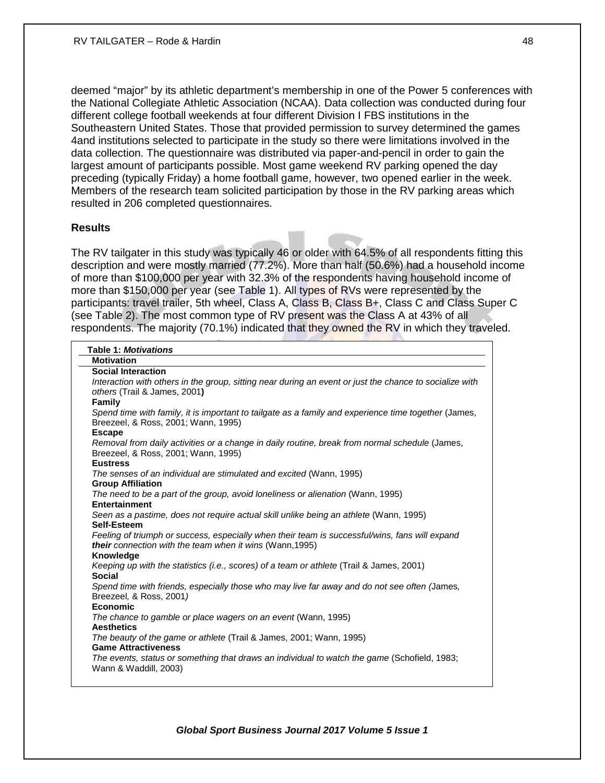deemed "major" by its athletic department's membership in one of the Power 5 conferences with the National Collegiate Athletic Association (NCAA). Data collection was conducted during four different college football weekends at four different Division I FBS institutions in the Southeastern United States. Those that provided permission to survey determined the games 4and institutions selected to participate in the study so there were limitations involved in the data collection. The questionnaire was distributed via paper-and-pencil in order to gain the largest amount of participants possible. Most game weekend RV parking opened the day preceding (typically Friday) a home football game, however, two opened earlier in the week. Members of the research team solicited participation by those in the RV parking areas which resulted in 206 completed questionnaires.

## **Results**

The RV tailgater in this study was typically 46 or older with 64.5% of all respondents fitting this description and were mostly married (77.2%). More than half (50.6%) had a household income of more than \$100,000 per year with 32.3% of the respondents having household income of more than \$150,000 per year (see Table 1). All types of RVs were represented by the participants: travel trailer, 5th wheel, Class A, Class B, Class B+, Class C and Class Super C (see Table 2). The most common type of RV present was the Class A at 43% of all respondents. The majority (70.1%) indicated that they owned the RV in which they traveled.

| <b>Table 1: Motivations</b>                                                                             |
|---------------------------------------------------------------------------------------------------------|
| <b>Motivation</b>                                                                                       |
| <b>Social Interaction</b>                                                                               |
| Interaction with others in the group, sitting near during an event or just the chance to socialize with |
| others (Trail & James, 2001)                                                                            |
| Family                                                                                                  |
| Spend time with family, it is important to tailgate as a family and experience time together (James,    |
| Breezeel, & Ross, 2001; Wann, 1995)                                                                     |
| <b>Escape</b>                                                                                           |
| Removal from daily activities or a change in daily routine, break from normal schedule (James,          |
| Breezeel, & Ross, 2001; Wann, 1995)                                                                     |
| <b>Eustress</b>                                                                                         |
| The senses of an individual are stimulated and excited (Wann, 1995)                                     |
| <b>Group Affiliation</b>                                                                                |
| The need to be a part of the group, avoid loneliness or alienation (Wann, 1995)<br>Entertainment        |
|                                                                                                         |
| Seen as a pastime, does not require actual skill unlike being an athlete (Wann, 1995)<br>Self-Esteem    |
| Feeling of triumph or success, especially when their team is successful/wins, fans will expand          |
| <b>their</b> connection with the team when it wins (Wann, 1995)                                         |
| <b>Knowledge</b>                                                                                        |
| Keeping up with the statistics (i.e., scores) of a team or athlete (Trail & James, 2001)                |
| <b>Social</b>                                                                                           |
| Spend time with friends, especially those who may live far away and do not see often (James,            |
| Breezeel, & Ross, 2001)                                                                                 |
| Economic                                                                                                |
| The chance to gamble or place wagers on an event (Wann, 1995)                                           |
| <b>Aesthetics</b>                                                                                       |
| The beauty of the game or athlete (Trail & James, 2001; Wann, 1995)                                     |
| <b>Game Attractiveness</b>                                                                              |
| The events, status or something that draws an individual to watch the game (Schofield, 1983;            |
| Wann & Waddill, 2003)                                                                                   |
|                                                                                                         |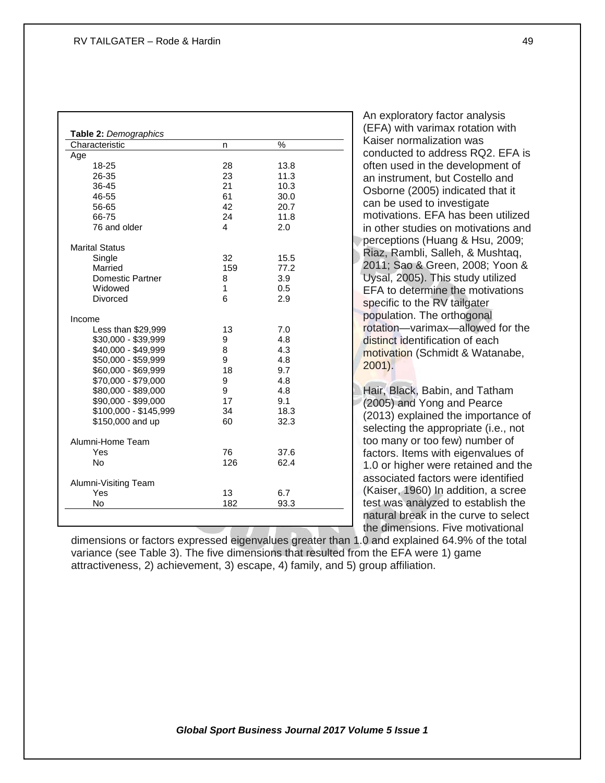| Characteristic          | n   | ℅    |
|-------------------------|-----|------|
| Age                     |     |      |
| 18-25                   | 28  | 13.8 |
| 26-35                   | 23  | 11.3 |
| 36-45                   | 21  | 10.3 |
| 46-55                   | 61  | 30.0 |
| 56-65                   | 42  | 20.7 |
| 66-75                   | 24  | 11.8 |
| 76 and older            | 4   | 2.0  |
| <b>Marital Status</b>   |     |      |
| Single                  | 32  | 15.5 |
| Married                 | 159 | 77.2 |
| <b>Domestic Partner</b> | 8   | 3.9  |
| Widowed                 | 1   | 0.5  |
| Divorced                | 6   | 2.9  |
| Income                  |     |      |
| Less than \$29,999      | 13  | 7.0  |
| \$30,000 - \$39,999     | 9   | 4.8  |
| \$40,000 - \$49,999     | 8   | 4.3  |
| \$50,000 - \$59,999     | 9   | 4.8  |
| \$60,000 - \$69,999     | 18  | 9.7  |
| \$70,000 - \$79,000     | 9   | 4.8  |
| \$80,000 - \$89,000     | 9   | 4.8  |
| \$90,000 - \$99,000     | 17  | 9.1  |
| \$100,000 - \$145,999   | 34  | 18.3 |
| \$150,000 and up        | 60  | 32.3 |
| Alumni-Home Team        |     |      |
| Yes                     | 76  | 37.6 |
| No                      | 126 | 62.4 |
| Alumni-Visiting Team    |     |      |
| Yes                     | 13  | 6.7  |
| No                      | 182 | 93.3 |

An exploratory factor analysis (EFA) with varimax rotation with Kaiser normalization was conducted to address RQ2. EFA is often used in the development of an instrument, but Costello and Osborne (2005) indicated that it can be used to investigate motivations. EFA has been utilized in other studies on motivations and perceptions (Huang & Hsu, 2009; Riaz, Rambli, Salleh, & Mushtaq, 2011; Sao & Green, 2008; Yoon & Uysal, 2005). This study utilized EFA to determine the motivations specific to the RV tailgater population. The orthogonal rotation—varimax—allowed for the distinct identification of each motivation (Schmidt & Watanabe, 2001).

Hair, Black, Babin, and Tatham (2005) and Yong and Pearce (2013) explained the importance of selecting the appropriate (i.e., not too many or too few) number of factors. Items with eigenvalues of 1.0 or higher were retained and the associated factors were identified (Kaiser, 1960) In addition, a scree test was analyzed to establish the natural break in the curve to select the dimensions. Five motivational

dimensions or factors expressed eigenvalues greater than 1.0 and explained 64.9% of the total variance (see Table 3). The five dimensions that resulted from the EFA were 1) game attractiveness, 2) achievement, 3) escape, 4) family, and 5) group affiliation.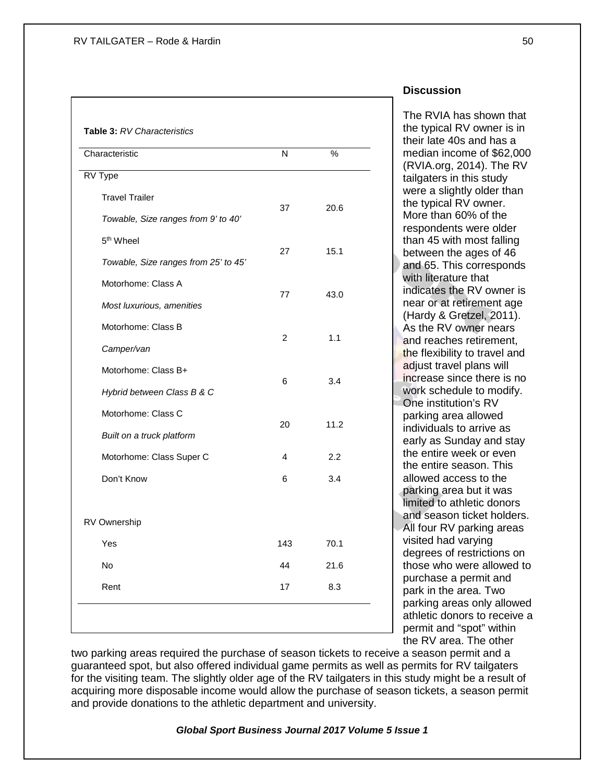| Characteristic                       | N              | $\%$ |
|--------------------------------------|----------------|------|
| RV Type                              |                |      |
| <b>Travel Trailer</b>                |                |      |
| Towable, Size ranges from 9' to 40'  | 37             | 20.6 |
| 5 <sup>th</sup> Wheel                |                | 15.1 |
| Towable, Size ranges from 25' to 45' | 27             |      |
| Motorhome: Class A                   | 77             | 43.0 |
| Most luxurious, amenities            |                |      |
| Motorhome: Class B                   | $\overline{2}$ | 1.1  |
| Camper/van                           |                |      |
| Motorhome: Class B+                  | 6              | 3.4  |
| Hybrid between Class B & C           |                |      |
| Motorhome: Class C                   | 20             | 11.2 |
| Built on a truck platform            |                |      |
| Motorhome: Class Super C             | 4              | 2.2  |
| Don't Know                           | 6              | 3.4  |
| RV Ownership                         |                |      |
| Yes                                  | 143            | 70.1 |
| No                                   | 44             | 21.6 |
| Rent                                 | 17             | 8.3  |

## **Discussion**

The RVIA has shown that the typical RV owner is in their late 40s and has a median income of \$62,000 (RVIA.org, 2014). The RV tailgaters in this study were a slightly older than the typical RV owner. More than 60% of the respondents were older than 45 with most falling between the ages of 46 and 65. This corresponds with literature that indicates the RV owner is near or at retirement age (Hardy & Gretzel, 2011). As the RV owner nears and reaches retirement, the flexibility to travel and adiust travel plans will increase since there is no work schedule to modify. One institution's RV parking area allowed individuals to arrive as early as Sunday and stay the entire week or even the entire season. This allowed access to the parking area but it was limited to athletic donors and season ticket holders. All four RV parking areas visited had varying degrees of restrictions on those who were allowed to purchase a permit and park in the area. Two parking areas only allowed athletic donors to receive a permit and "spot" within the RV area. The other

two parking areas required the purchase of season tickets to receive a season permit and a guaranteed spot, but also offered individual game permits as well as permits for RV tailgaters for the visiting team. The slightly older age of the RV tailgaters in this study might be a result of acquiring more disposable income would allow the purchase of season tickets, a season permit and provide donations to the athletic department and university.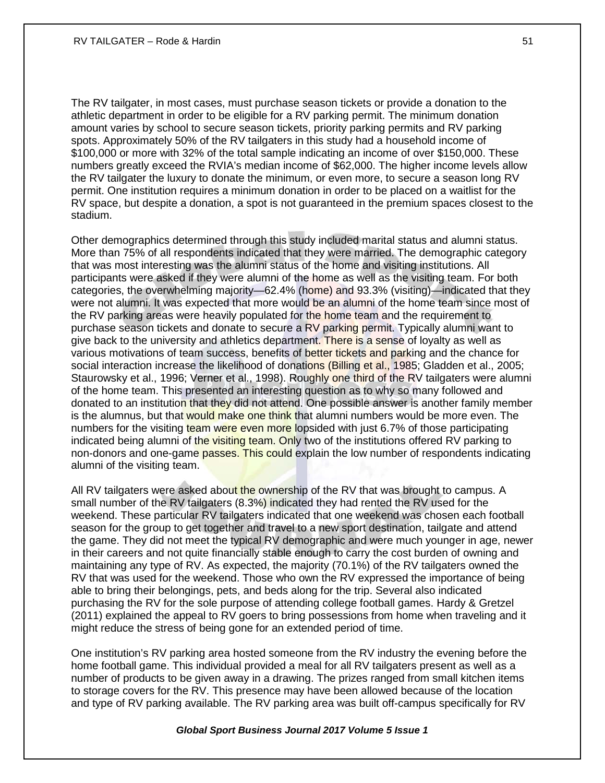The RV tailgater, in most cases, must purchase season tickets or provide a donation to the athletic department in order to be eligible for a RV parking permit. The minimum donation amount varies by school to secure season tickets, priority parking permits and RV parking spots. Approximately 50% of the RV tailgaters in this study had a household income of \$100,000 or more with 32% of the total sample indicating an income of over \$150,000. These numbers greatly exceed the RVIA's median income of \$62,000. The higher income levels allow the RV tailgater the luxury to donate the minimum, or even more, to secure a season long RV permit. One institution requires a minimum donation in order to be placed on a waitlist for the RV space, but despite a donation, a spot is not guaranteed in the premium spaces closest to the stadium.

Other demographics determined through this study included marital status and alumni status. More than 75% of all respondents indicated that they were married. The demographic category that was most interesting was the alumni status of the home and visiting institutions. All participants were asked if they were alumni of the home as well as the visiting team. For both categories, the overwhelming majority—62.4% (home) and 93.3% (visiting)—indicated that they were not alumni. It was expected that more would be an alumni of the home team since most of the RV parking areas were heavily populated for the home team and the requirement to purchase season tickets and donate to secure a RV parking permit. Typically alumni want to give back to the university and athletics department. There is a sense of loyalty as well as various motivations of team success, benefits of better tickets and parking and the chance for social interaction increase the likelihood of donations (Billing et al., 1985; Gladden et al., 2005; Staurowsky et al., 1996; Verner et al., 1998). Roughly one third of the RV tailgaters were alumni of the home team. This presented an interesting question as to why so many followed and donated to an institution that they did not attend. One possible answer is another family member is the alumnus, but that would make one think that alumni numbers would be more even. The numbers for the visiting team were even more lopsided with just 6.7% of those participating indicated being alumni of the visiting team. Only two of the institutions offered RV parking to non-donors and one-game passes. This could explain the low number of respondents indicating alumni of the visiting team.

All RV tailgaters were asked about the ownership of the RV that was brought to campus. A small number of the RV tailgaters (8.3%) indicated they had rented the RV used for the weekend. These particular RV tailgaters indicated that one weekend was chosen each football season for the group to get together and travel to a new sport destination, tailgate and attend the game. They did not meet the typical RV demographic and were much younger in age, newer in their careers and not quite financially stable enough to carry the cost burden of owning and maintaining any type of RV. As expected, the majority (70.1%) of the RV tailgaters owned the RV that was used for the weekend. Those who own the RV expressed the importance of being able to bring their belongings, pets, and beds along for the trip. Several also indicated purchasing the RV for the sole purpose of attending college football games. Hardy & Gretzel (2011) explained the appeal to RV goers to bring possessions from home when traveling and it might reduce the stress of being gone for an extended period of time.

One institution's RV parking area hosted someone from the RV industry the evening before the home football game. This individual provided a meal for all RV tailgaters present as well as a number of products to be given away in a drawing. The prizes ranged from small kitchen items to storage covers for the RV. This presence may have been allowed because of the location and type of RV parking available. The RV parking area was built off-campus specifically for RV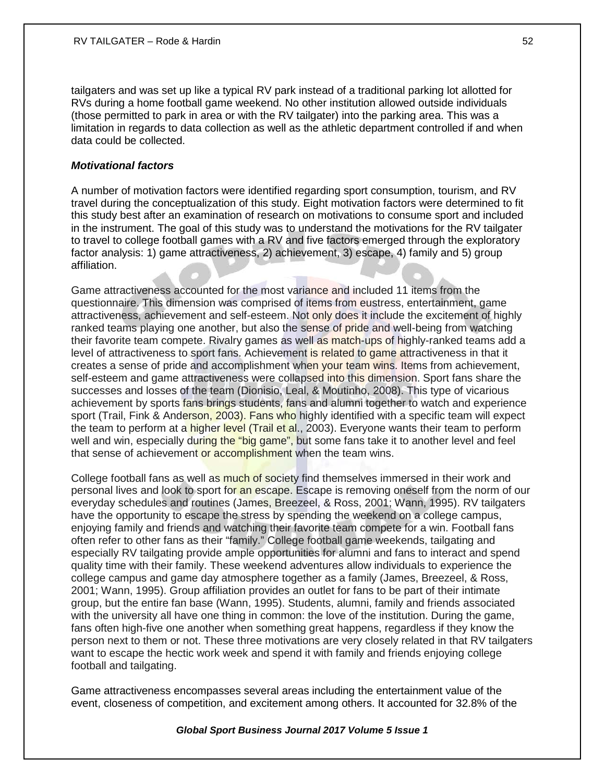tailgaters and was set up like a typical RV park instead of a traditional parking lot allotted for RVs during a home football game weekend. No other institution allowed outside individuals (those permitted to park in area or with the RV tailgater) into the parking area. This was a limitation in regards to data collection as well as the athletic department controlled if and when data could be collected.

## *Motivational factors*

A number of motivation factors were identified regarding sport consumption, tourism, and RV travel during the conceptualization of this study. Eight motivation factors were determined to fit this study best after an examination of research on motivations to consume sport and included in the instrument. The goal of this study was to understand the motivations for the RV tailgater to travel to college football games with a RV and five factors emerged through the exploratory factor analysis: 1) game attractiveness, 2) achievement, 3) escape, 4) family and 5) group affiliation.

Game attractiveness accounted for the most variance and included 11 items from the questionnaire. This dimension was comprised of items from eustress, entertainment, game attractiveness, achievement and self-esteem. Not only does it include the excitement of highly ranked teams playing one another, but also the sense of pride and well-being from watching their favorite team compete. Rivalry games as well as match-ups of highly-ranked teams add a level of attractiveness to sport fans. Achievement is related to game attractiveness in that it creates a sense of pride and accomplishment when your team wins. Items from achievement, self-esteem and game attractiveness were collapsed into this dimension. Sport fans share the successes and losses of the team (Dionisio, Leal, & Moutinho, 2008). This type of vicarious achievement by sports fans brings students, fans and alumni together to watch and experience sport (Trail, Fink & Anderson, 2003). Fans who highly identified with a specific team will expect the team to perform at a higher level (Trail et al., 2003). Everyone wants their team to perform well and win, especially during the "big game", but some fans take it to another level and feel that sense of achievement or accomplishment when the team wins.

College football fans as well as much of society find themselves immersed in their work and personal lives and look to sport for an escape. Escape is removing oneself from the norm of our everyday schedules and routines (James, Breezeel, & Ross, 2001; Wann, 1995). RV tailgaters have the opportunity to escape the stress by spending the weekend on a college campus, enjoying family and friends and watching their favorite team compete for a win. Football fans often refer to other fans as their "family." College football game weekends, tailgating and especially RV tailgating provide ample opportunities for alumni and fans to interact and spend quality time with their family. These weekend adventures allow individuals to experience the college campus and game day atmosphere together as a family (James, Breezeel, & Ross, 2001; Wann, 1995). Group affiliation provides an outlet for fans to be part of their intimate group, but the entire fan base (Wann, 1995). Students, alumni, family and friends associated with the university all have one thing in common: the love of the institution. During the game, fans often high-five one another when something great happens, regardless if they know the person next to them or not. These three motivations are very closely related in that RV tailgaters want to escape the hectic work week and spend it with family and friends enjoying college football and tailgating.

Game attractiveness encompasses several areas including the entertainment value of the event, closeness of competition, and excitement among others. It accounted for 32.8% of the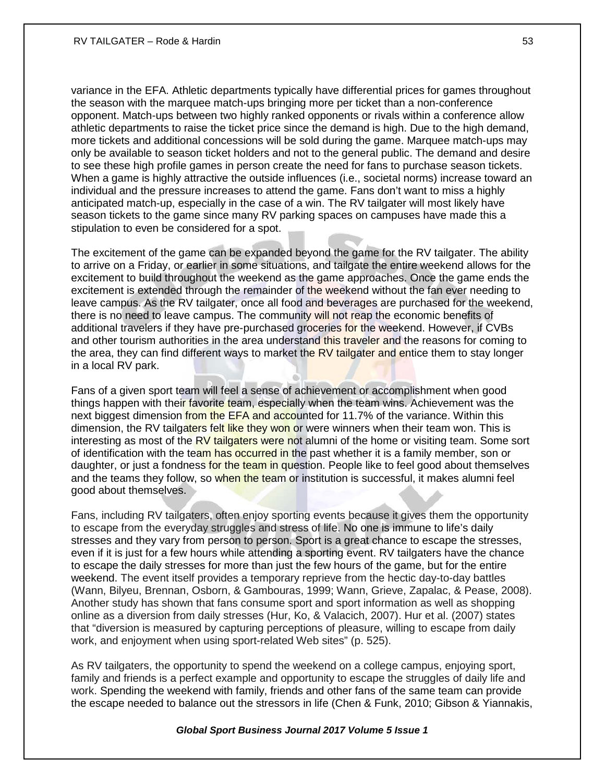variance in the EFA. Athletic departments typically have differential prices for games throughout the season with the marquee match-ups bringing more per ticket than a non-conference opponent. Match-ups between two highly ranked opponents or rivals within a conference allow athletic departments to raise the ticket price since the demand is high. Due to the high demand, more tickets and additional concessions will be sold during the game. Marquee match-ups may only be available to season ticket holders and not to the general public. The demand and desire to see these high profile games in person create the need for fans to purchase season tickets. When a game is highly attractive the outside influences (i.e., societal norms) increase toward an individual and the pressure increases to attend the game. Fans don't want to miss a highly anticipated match-up, especially in the case of a win. The RV tailgater will most likely have season tickets to the game since many RV parking spaces on campuses have made this a stipulation to even be considered for a spot.

The excitement of the game can be expanded beyond the game for the RV tailgater. The ability to arrive on a Friday, or earlier in some situations, and tailgate the entire weekend allows for the excitement to build throughout the weekend as the game approaches. Once the game ends the excitement is extended through the remainder of the weekend without the fan ever needing to leave campus. As the RV tailgater, once all food and beverages are purchased for the weekend, there is no need to leave campus. The community will not reap the economic benefits of additional travelers if they have pre-purchased groceries for the weekend. However, if CVBs and other tourism authorities in the area understand this traveler and the reasons for coming to the area, they can find different ways to market the RV tailgater and entice them to stay longer in a local RV park.

Fans of a given sport team will feel a sense of achievement or accomplishment when good things happen with their favorite team, especially when the team wins. Achievement was the next biggest dimension from the EFA and accounted for 11.7% of the variance. Within this dimension, the RV tailgaters felt like they won or were winners when their team won. This is interesting as most of the RV tailgaters were not alumni of the home or visiting team. Some sort of identification with the team has occurred in the past whether it is a family member, son or daughter, or just a fondness for the team in question. People like to feel good about themselves and the teams they follow, so when the team or institution is successful, it makes alumni feel good about themselves.

Fans, including RV tailgaters, often enjoy sporting events because it gives them the opportunity to escape from the everyday struggles and stress of life. No one is immune to life's daily stresses and they vary from person to person. Sport is a great chance to escape the stresses, even if it is just for a few hours while attending a sporting event. RV tailgaters have the chance to escape the daily stresses for more than just the few hours of the game, but for the entire weekend. The event itself provides a temporary reprieve from the hectic day-to-day battles (Wann, Bilyeu, Brennan, Osborn, & Gambouras, 1999; Wann, Grieve, Zapalac, & Pease, 2008). Another study has shown that fans consume sport and sport information as well as shopping online as a diversion from daily stresses (Hur, Ko, & Valacich, 2007). Hur et al. (2007) states that "diversion is measured by capturing perceptions of pleasure, willing to escape from daily work, and enjoyment when using sport-related Web sites" (p. 525).

As RV tailgaters, the opportunity to spend the weekend on a college campus, enjoying sport, family and friends is a perfect example and opportunity to escape the struggles of daily life and work. Spending the weekend with family, friends and other fans of the same team can provide the escape needed to balance out the stressors in life (Chen & Funk, 2010; Gibson & Yiannakis,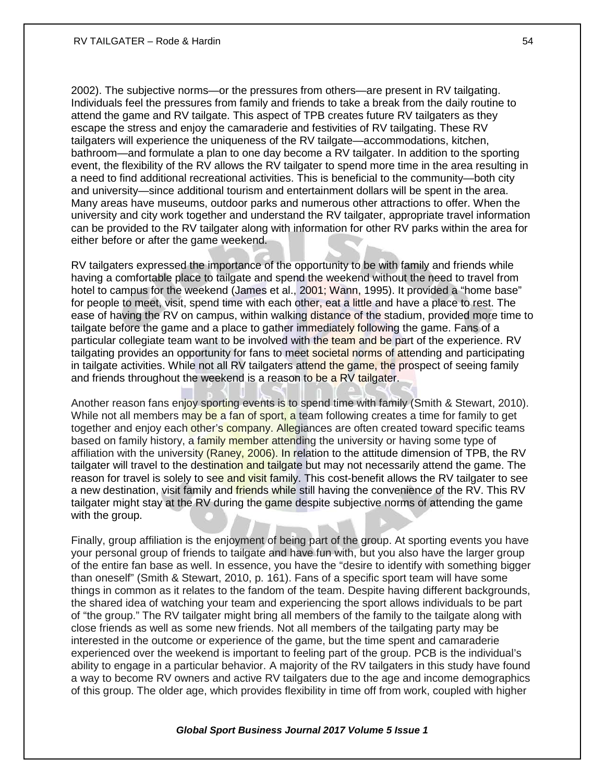2002). The subjective norms—or the pressures from others—are present in RV tailgating. Individuals feel the pressures from family and friends to take a break from the daily routine to attend the game and RV tailgate. This aspect of TPB creates future RV tailgaters as they escape the stress and enjoy the camaraderie and festivities of RV tailgating. These RV tailgaters will experience the uniqueness of the RV tailgate—accommodations, kitchen, bathroom—and formulate a plan to one day become a RV tailgater. In addition to the sporting event, the flexibility of the RV allows the RV tailgater to spend more time in the area resulting in a need to find additional recreational activities. This is beneficial to the community—both city and university—since additional tourism and entertainment dollars will be spent in the area. Many areas have museums, outdoor parks and numerous other attractions to offer. When the university and city work together and understand the RV tailgater, appropriate travel information can be provided to the RV tailgater along with information for other RV parks within the area for either before or after the game weekend.

RV tailgaters expressed the importance of the opportunity to be with family and friends while having a comfortable place to tailgate and spend the weekend without the need to travel from hotel to campus for the weekend (James et al., 2001; Wann, 1995). It provided a "home base" for people to meet, visit, spend time with each other, eat a little and have a place to rest. The ease of having the RV on campus, within walking distance of the stadium, provided more time to tailgate before the game and a place to gather immediately following the game. Fans of a particular collegiate team want to be involved with the team and be part of the experience. RV tailgating provides an opportunity for fans to meet societal norms of attending and participating in tailgate activities. While not all RV tailgaters attend the game, the prospect of seeing family and friends throughout the weekend is a reason to be a RV tailgater.

Another reason fans enjoy sporting events is to spend time with family (Smith & Stewart, 2010). While not all members may be a fan of sport, a team following creates a time for family to get together and enjoy each other's company. Allegiances are often created toward specific teams based on family history, a family member attending the university or having some type of affiliation with the university (Raney, 2006). In relation to the attitude dimension of TPB, the RV tailgater will travel to the destination and tailgate but may not necessarily attend the game. The reason for travel is solely to see and visit family. This cost-benefit allows the RV tailgater to see a new destination, visit family and *friends* while still having the convenience of the RV. This RV tailgater might stay at the RV during the game despite subjective norms of attending the game with the group.

Finally, group affiliation is the enjoyment of being part of the group. At sporting events you have your personal group of friends to tailgate and have fun with, but you also have the larger group of the entire fan base as well. In essence, you have the "desire to identify with something bigger than oneself" (Smith & Stewart, 2010, p. 161). Fans of a specific sport team will have some things in common as it relates to the fandom of the team. Despite having different backgrounds, the shared idea of watching your team and experiencing the sport allows individuals to be part of "the group." The RV tailgater might bring all members of the family to the tailgate along with close friends as well as some new friends. Not all members of the tailgating party may be interested in the outcome or experience of the game, but the time spent and camaraderie experienced over the weekend is important to feeling part of the group. PCB is the individual's ability to engage in a particular behavior. A majority of the RV tailgaters in this study have found a way to become RV owners and active RV tailgaters due to the age and income demographics of this group. The older age, which provides flexibility in time off from work, coupled with higher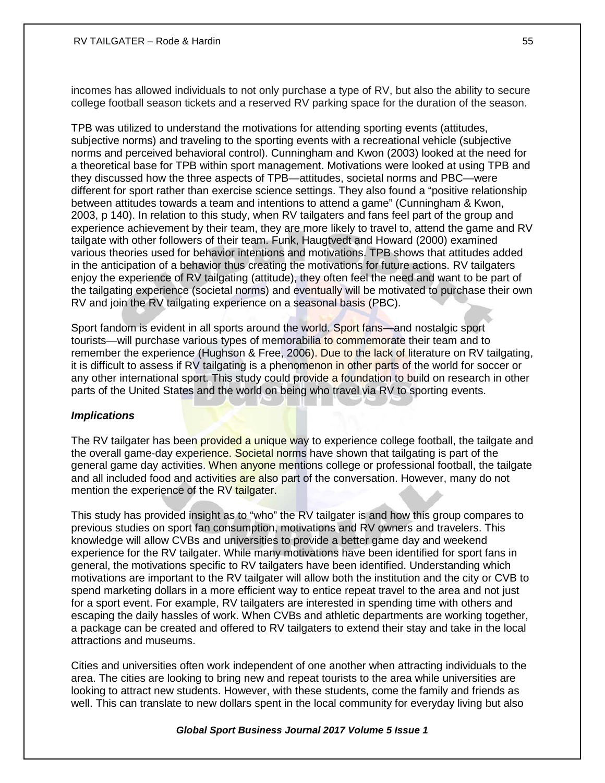#### RV TAILGATER – Rode & Hardin 55 and 50 and 50 and 50 and 50 and 50 and 50 and 50 and 50 and 50 and 50 and 50 and 50 and 50 and 50 and 50 and 50 and 50 and 50 and 50 and 50 and 50 and 50 and 50 and 50 and 50 and 50 and 50 a

incomes has allowed individuals to not only purchase a type of RV, but also the ability to secure college football season tickets and a reserved RV parking space for the duration of the season.

TPB was utilized to understand the motivations for attending sporting events (attitudes, subjective norms) and traveling to the sporting events with a recreational vehicle (subjective norms and perceived behavioral control). Cunningham and Kwon (2003) looked at the need for a theoretical base for TPB within sport management. Motivations were looked at using TPB and they discussed how the three aspects of TPB—attitudes, societal norms and PBC—were different for sport rather than exercise science settings. They also found a "positive relationship between attitudes towards a team and intentions to attend a game" (Cunningham & Kwon, 2003, p 140). In relation to this study, when RV tailgaters and fans feel part of the group and experience achievement by their team, they are more likely to travel to, attend the game and RV tailgate with other followers of their team. Funk, Haugtvedt and Howard (2000) examined various theories used for behavior intentions and motivations. TPB shows that attitudes added in the anticipation of a behavior thus creating the motivations for future actions. RV tailgaters enjoy the experience of RV tailgating (attitude), they often feel the need and want to be part of the tailgating experience (societal norms) and eventually will be motivated to purchase their own RV and join the RV tailgating experience on a seasonal basis (PBC).

Sport fandom is evident in all sports around the world. Sport fans—and nostalgic sport tourists—will purchase various types of memorabilia to commemorate their team and to remember the experience (Hughson & Free, 2006). Due to the lack of literature on RV tailgating, it is difficult to assess if RV tailgating is a phenomenon in other parts of the world for soccer or any other international sport. This study could provide a foundation to build on research in other parts of the United States and the world on being who travel via RV to sporting events.

#### *Implications*

The RV tailgater has been provided a unique way to experience college football, the tailgate and the overall game-day experience. Societal norms have shown that tailgating is part of the general game day activities. When anyone mentions college or professional football, the tailgate and all included food and activities are also part of the conversation. However, many do not mention the experience of the RV tailgater.

This study has provided insight as to "who" the RV tailgater is and how this group compares to previous studies on sport fan consumption, motivations and RV owners and travelers. This knowledge will allow CVBs and universities to provide a better game day and weekend experience for the RV tailgater. While many motivations have been identified for sport fans in general, the motivations specific to RV tailgaters have been identified. Understanding which motivations are important to the RV tailgater will allow both the institution and the city or CVB to spend marketing dollars in a more efficient way to entice repeat travel to the area and not just for a sport event. For example, RV tailgaters are interested in spending time with others and escaping the daily hassles of work. When CVBs and athletic departments are working together, a package can be created and offered to RV tailgaters to extend their stay and take in the local attractions and museums.

Cities and universities often work independent of one another when attracting individuals to the area. The cities are looking to bring new and repeat tourists to the area while universities are looking to attract new students. However, with these students, come the family and friends as well. This can translate to new dollars spent in the local community for everyday living but also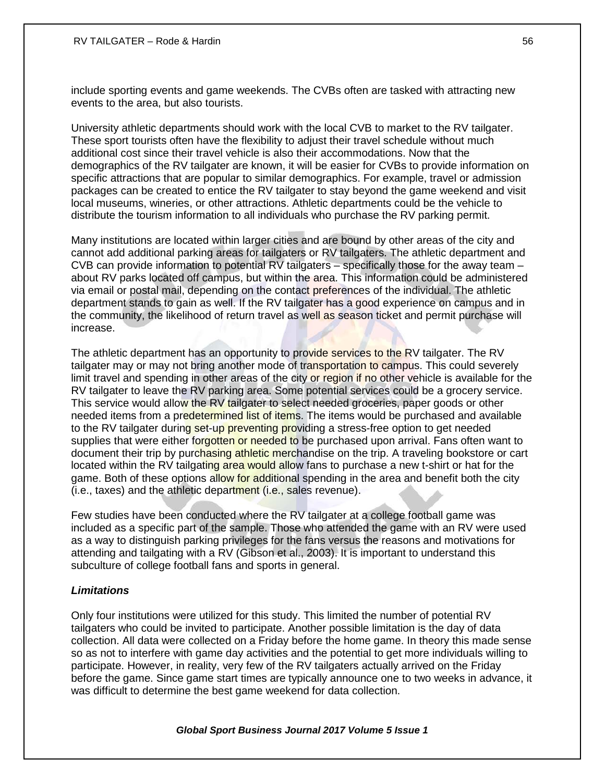include sporting events and game weekends. The CVBs often are tasked with attracting new events to the area, but also tourists.

University athletic departments should work with the local CVB to market to the RV tailgater. These sport tourists often have the flexibility to adjust their travel schedule without much additional cost since their travel vehicle is also their accommodations. Now that the demographics of the RV tailgater are known, it will be easier for CVBs to provide information on specific attractions that are popular to similar demographics. For example, travel or admission packages can be created to entice the RV tailgater to stay beyond the game weekend and visit local museums, wineries, or other attractions. Athletic departments could be the vehicle to distribute the tourism information to all individuals who purchase the RV parking permit.

Many institutions are located within larger cities and are bound by other areas of the city and cannot add additional parking areas for tailgaters or RV tailgaters. The athletic department and CVB can provide information to potential RV tailgaters – specifically those for the away team – about RV parks located off campus, but within the area. This information could be administered via email or postal mail, depending on the contact preferences of the individual. The athletic department stands to gain as well. If the RV tailgater has a good experience on campus and in the community, the likelihood of return travel as well as season ticket and permit purchase will increase.

The athletic department has an opportunity to provide services to the RV tailgater. The RV tailgater may or may not bring another mode of transportation to campus. This could severely limit travel and spending in other areas of the city or region if no other vehicle is available for the RV tailgater to leave the RV parking area. Some potential services could be a grocery service. This service would allow the RV tailgater to select needed groceries, paper goods or other needed items from a predetermined list of items. The items would be purchased and available to the RV tailgater during set-up preventing providing a stress-free option to get needed supplies that were either forgotten or needed to be purchased upon arrival. Fans often want to document their trip by purchasing athletic merchandise on the trip. A traveling bookstore or cart located within the RV tailgating area would allow fans to purchase a new t-shirt or hat for the game. Both of these options allow for additional spending in the area and benefit both the city (i.e., taxes) and the athletic department (i.e., sales revenue).

Few studies have been conducted where the RV tailgater at a college football game was included as a specific part of the sample. Those who attended the game with an RV were used as a way to distinguish parking privileges for the fans versus the reasons and motivations for attending and tailgating with a RV (Gibson et al., 2003). It is important to understand this subculture of college football fans and sports in general.

## *Limitations*

Only four institutions were utilized for this study. This limited the number of potential RV tailgaters who could be invited to participate. Another possible limitation is the day of data collection. All data were collected on a Friday before the home game. In theory this made sense so as not to interfere with game day activities and the potential to get more individuals willing to participate. However, in reality, very few of the RV tailgaters actually arrived on the Friday before the game. Since game start times are typically announce one to two weeks in advance, it was difficult to determine the best game weekend for data collection.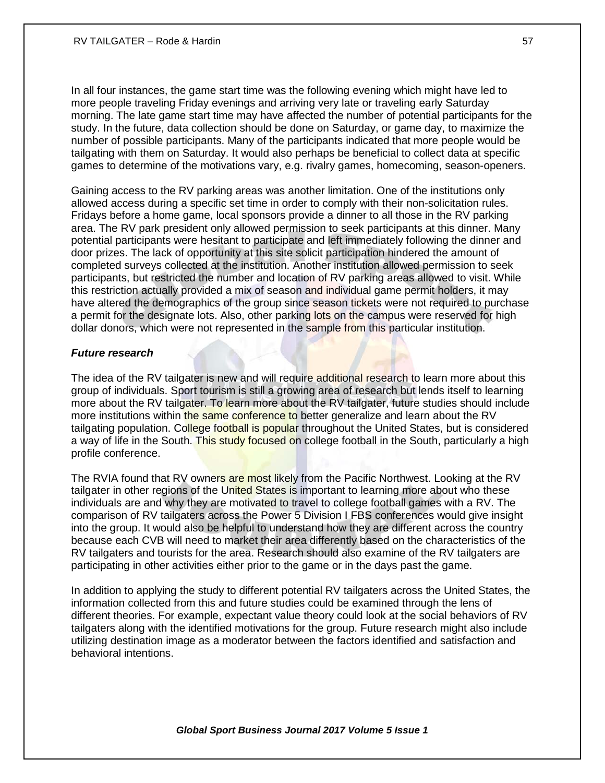In all four instances, the game start time was the following evening which might have led to more people traveling Friday evenings and arriving very late or traveling early Saturday morning. The late game start time may have affected the number of potential participants for the study. In the future, data collection should be done on Saturday, or game day, to maximize the number of possible participants. Many of the participants indicated that more people would be tailgating with them on Saturday. It would also perhaps be beneficial to collect data at specific games to determine of the motivations vary, e.g. rivalry games, homecoming, season-openers.

Gaining access to the RV parking areas was another limitation. One of the institutions only allowed access during a specific set time in order to comply with their non-solicitation rules. Fridays before a home game, local sponsors provide a dinner to all those in the RV parking area. The RV park president only allowed permission to seek participants at this dinner. Many potential participants were hesitant to participate and left immediately following the dinner and door prizes. The lack of opportunity at this site solicit participation hindered the amount of completed surveys collected at the institution. Another institution allowed permission to seek participants, but restricted the number and location of RV parking areas allowed to visit. While this restriction actually provided a mix of season and individual game permit holders, it may have altered the demographics of the group since season tickets were not required to purchase a permit for the designate lots. Also, other parking lots on the campus were reserved for high dollar donors, which were not represented in the sample from this particular institution.

## *Future research*

The idea of the RV tailgater is new and will require additional research to learn more about this group of individuals. Sport tourism is still a growing area of research but lends itself to learning more about the RV tailgater. To learn more about the RV tailgater, future studies should include more institutions within the same conference to better generalize and learn about the RV tailgating population. College football is popular throughout the United States, but is considered a way of life in the South. This study focused on college football in the South, particularly a high profile conference.

The RVIA found that RV owners are most likely from the Pacific Northwest. Looking at the RV tailgater in other regions of the United States is important to learning more about who these individuals are and why they are motivated to travel to college football games with a RV. The comparison of RV tailgaters across the Power 5 Division I FBS conferences would give insight into the group. It would also be helpful to understand how they are different across the country because each CVB will need to market their area differently based on the characteristics of the RV tailgaters and tourists for the area. Research should also examine of the RV tailgaters are participating in other activities either prior to the game or in the days past the game.

In addition to applying the study to different potential RV tailgaters across the United States, the information collected from this and future studies could be examined through the lens of different theories. For example, expectant value theory could look at the social behaviors of RV tailgaters along with the identified motivations for the group. Future research might also include utilizing destination image as a moderator between the factors identified and satisfaction and behavioral intentions.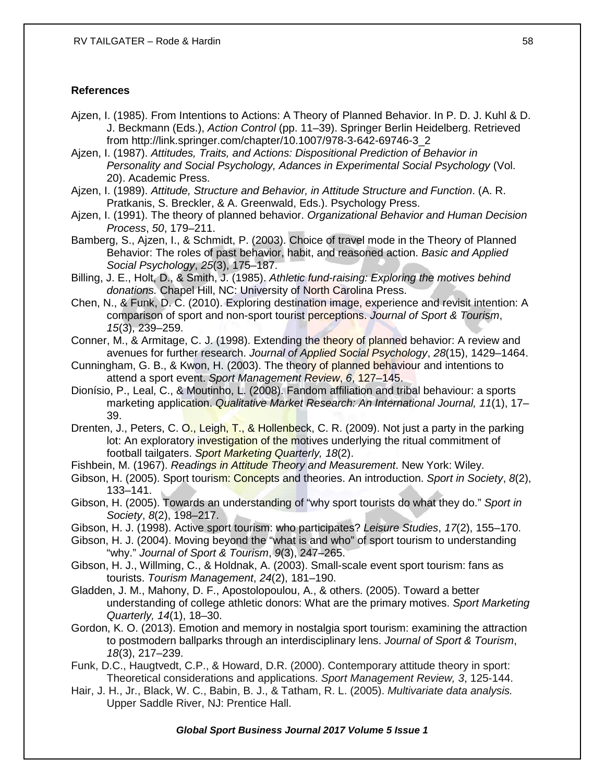## **References**

- Ajzen, I. (1985). From Intentions to Actions: A Theory of Planned Behavior. In P. D. J. Kuhl & D. J. Beckmann (Eds.), *Action Control* (pp. 11–39). Springer Berlin Heidelberg. Retrieved from http://link.springer.com/chapter/10.1007/978-3-642-69746-3\_2
- Ajzen, I. (1987). *Attitudes, Traits, and Actions: Dispositional Prediction of Behavior in Personality and Social Psychology, Adances in Experimental Social Psychology* (Vol. 20). Academic Press.

Ajzen, I. (1989). *Attitude, Structure and Behavior, in Attitude Structure and Function*. (A. R. Pratkanis, S. Breckler, & A. Greenwald, Eds.). Psychology Press.

- Ajzen, I. (1991). The theory of planned behavior. *Organizational Behavior and Human Decision Process*, *50*, 179–211.
- Bamberg, S., Ajzen, I., & Schmidt, P. (2003). Choice of travel mode in the Theory of Planned Behavior: The roles of past behavior, habit, and reasoned action. *Basic and Applied Social Psychology*, *25*(3), 175–187.
- Billing, J. E., Holt, D., & Smith, J. (1985). *Athletic fund-raising: Exploring the motives behind donations.* Chapel Hill, NC: University of North Carolina Press.
- Chen, N., & Funk, D. C. (2010). Exploring destination image, experience and revisit intention: A comparison of sport and non-sport tourist perceptions. *Journal of Sport & Tourism*, *15*(3), 239–259.
- Conner, M., & Armitage, C. J. (1998). Extending the theory of planned behavior: A review and avenues for further research. *Journal of Applied Social Psychology*, *28*(15), 1429–1464.
- Cunningham, G. B., & Kwon, H. (2003). The theory of planned behaviour and intentions to attend a sport event. *Sport Management Review*, *6*, 127–145.
- Dionísio, P., Leal, C., & Moutinho, L. (2008). Fandom affiliation and tribal behaviour: a sports marketing application. *Qualitative Market Research: An International Journal, 11*(1), 17– 39.
- Drenten, J., Peters, C. O., Leigh, T., & Hollenbeck, C. R. (2009). Not just a party in the parking lot: An exploratory investigation of the motives underlying the ritual commitment of football tailgaters. *Sport Marketing Quarterly, 18*(2).
- Fishbein, M. (1967). *Readings in Attitude Theory and Measurement*. New York: Wiley.
- Gibson, H. (2005). Sport tourism: Concepts and theories. An introduction. *Sport in Society*, *8*(2), 133–141.
- Gibson, H. (2005). Towards an understanding of "why sport tourists do what they do." *Sport in Society*, *8*(2), 198–217.
- Gibson, H. J. (1998). Active sport tourism: who participates? *Leisure Studies*, *17*(2), 155–170.
- Gibson, H. J. (2004). Moving beyond the "what is and who" of sport tourism to understanding "why." *Journal of Sport & Tourism*, *9*(3), 247–265.
- Gibson, H. J., Willming, C., & Holdnak, A. (2003). Small-scale event sport tourism: fans as tourists. *Tourism Management*, *24*(2), 181–190.
- Gladden, J. M., Mahony, D. F., Apostolopoulou, A., & others. (2005). Toward a better understanding of college athletic donors: What are the primary motives. *Sport Marketing Quarterly, 14*(1), 18–30.
- Gordon, K. O. (2013). Emotion and memory in nostalgia sport tourism: examining the attraction to postmodern ballparks through an interdisciplinary lens. *Journal of Sport & Tourism*, *18*(3), 217–239.
- Funk, D.C., Haugtvedt, C.P., & Howard, D.R. (2000). Contemporary attitude theory in sport: Theoretical considerations and applications. *Sport Management Review, 3*, 125-144.
- Hair, J. H., Jr., Black, W. C., Babin, B. J., & Tatham, R. L. (2005). *Multivariate data analysis.* Upper Saddle River, NJ: Prentice Hall.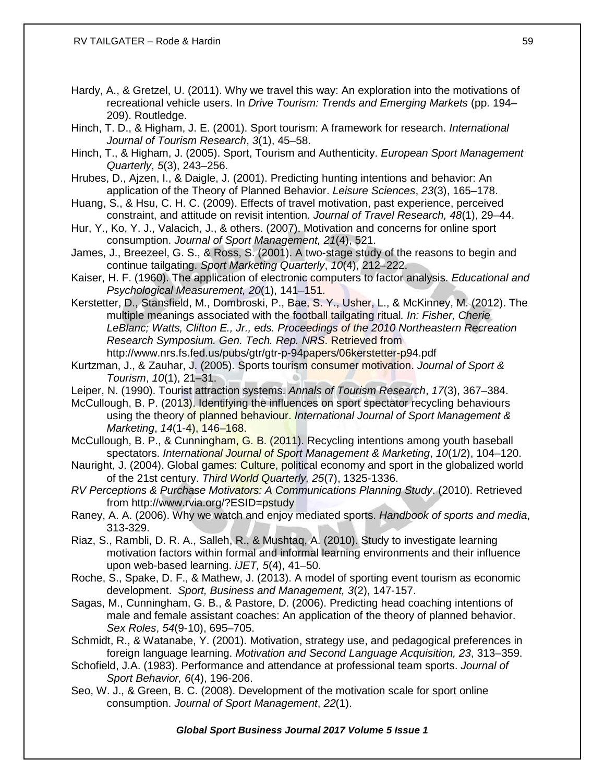- Hardy, A., & Gretzel, U. (2011). Why we travel this way: An exploration into the motivations of recreational vehicle users. In *Drive Tourism: Trends and Emerging Markets* (pp. 194– 209). Routledge.
- Hinch, T. D., & Higham, J. E. (2001). Sport tourism: A framework for research. *International Journal of Tourism Research*, *3*(1), 45–58.
- Hinch, T., & Higham, J. (2005). Sport, Tourism and Authenticity. *European Sport Management Quarterly*, *5*(3), 243–256.
- Hrubes, D., Ajzen, I., & Daigle, J. (2001). Predicting hunting intentions and behavior: An application of the Theory of Planned Behavior. *Leisure Sciences*, *23*(3), 165–178.
- Huang, S., & Hsu, C. H. C. (2009). Effects of travel motivation, past experience, perceived constraint, and attitude on revisit intention. *Journal of Travel Research, 48*(1), 29–44.
- Hur, Y., Ko, Y. J., Valacich, J., & others. (2007). Motivation and concerns for online sport consumption. *Journal of Sport Management, 21*(4), 521.
- James, J., Breezeel, G. S., & Ross, S. (2001). A two-stage study of the reasons to begin and continue tailgating. *Sport Marketing Quarterly*, *10*(4), 212–222.
- Kaiser, H. F. (1960). The application of electronic computers to factor analysis. *Educational and Psychological Measurement, 20*(1), 141–151.
- Kerstetter, D., Stansfield, M., Dombroski, P., Bae, S. Y., Usher, L., & McKinney, M. (2012). The multiple meanings associated with the football tailgating ritual*. In: Fisher, Cherie LeBlanc; Watts, Clifton E., Jr., eds. Proceedings of the 2010 Northeastern Recreation Research Symposium. Gen. Tech. Rep. NRS*. Retrieved from http://www.nrs.fs.fed.us/pubs/gtr/gtr-p-94papers/06kerstetter-p94.pdf
- Kurtzman, J., & Zauhar, J. (2005). Sports tourism consumer motivation. *Journal of Sport & Tourism*, *10*(1), 21–31.
- Leiper, N. (1990). Tourist attraction systems. *Annals of Tourism Research*, *17*(3), 367–384.
- McCullough, B. P. (2013). Identifying the influences on sport spectator recycling behaviours using the theory of planned behaviour. *International Journal of Sport Management & Marketing*, *14*(1-4), 146–168.
- McCullough, B. P., & Cunningham, G. B. (2011). Recycling intentions among youth baseball spectators. *International Journal of Sport Management & Marketing*, *10*(1/2), 104–120.
- Nauright, J. (2004). Global games: Culture, political economy and sport in the globalized world of the 21st century. *Third World Quarterly, 25*(7), 1325-1336.
- *RV Perceptions & Purchase Motivators: A Communications Planning Study*. (2010). Retrieved from http://www.rvia.org/?ESID=pstudy
- Raney, A. A. (2006). Why we watch and enjoy mediated sports. *Handbook of sports and media*, 313-329.
- Riaz, S., Rambli, D. R. A., Salleh, R., & Mushtaq, A. (2010). Study to investigate learning motivation factors within formal and informal learning environments and their influence upon web-based learning. *iJET, 5*(4), 41–50.
- Roche, S., Spake, D. F., & Mathew, J. (2013). A model of sporting event tourism as economic development. *Sport, Business and Management, 3*(2), 147-157.
- Sagas, M., Cunningham, G. B., & Pastore, D. (2006). Predicting head coaching intentions of male and female assistant coaches: An application of the theory of planned behavior. *Sex Roles*, *54*(9-10), 695–705.
- Schmidt, R., & Watanabe, Y. (2001). Motivation, strategy use, and pedagogical preferences in foreign language learning. *Motivation and Second Language Acquisition, 23*, 313–359.
- Schofield, J.A. (1983). Performance and attendance at professional team sports. *Journal of Sport Behavior, 6*(4), 196-206.
- Seo, W. J., & Green, B. C. (2008). Development of the motivation scale for sport online consumption. *Journal of Sport Management*, *22*(1).